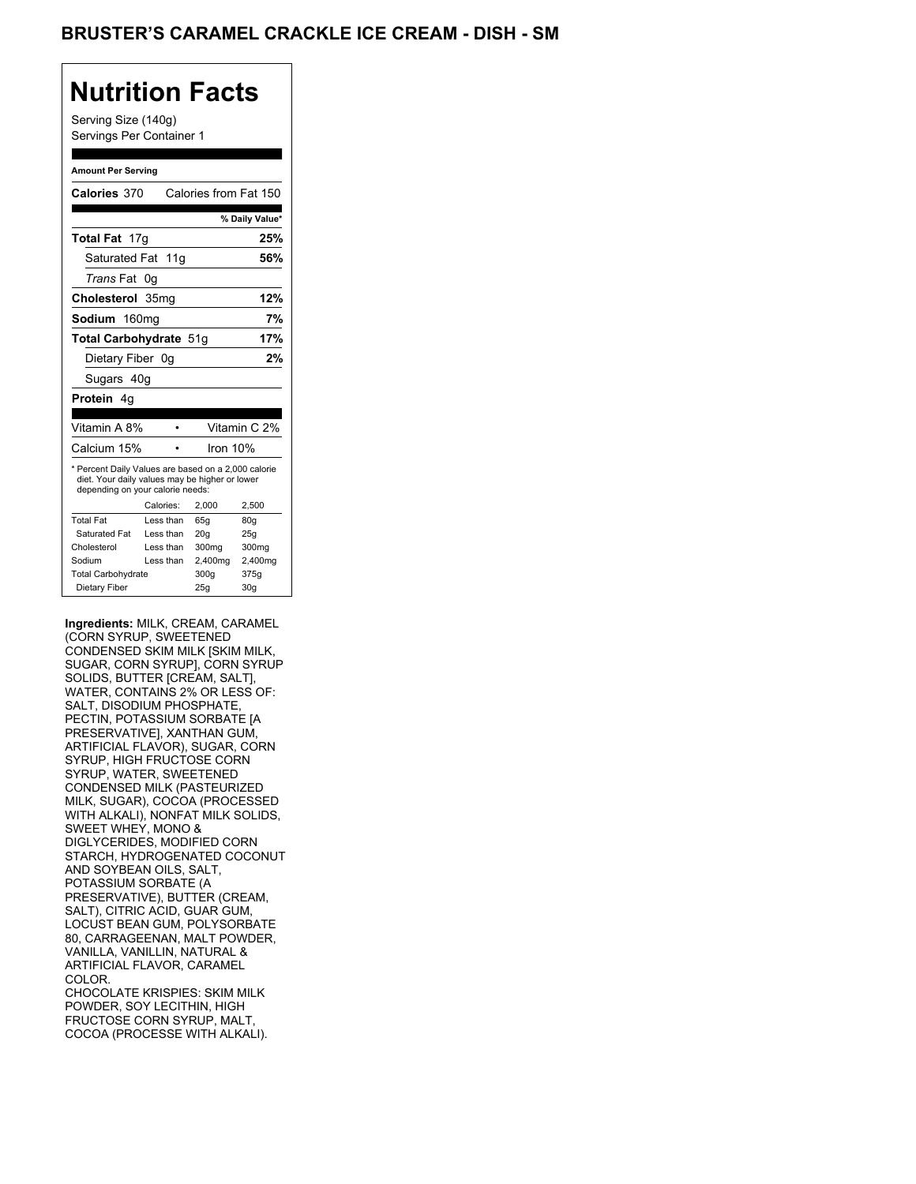## BRUSTER'S CARAMEL CRACKLE ICE CREAM - DISH - SM

## **Nutrition Facts**

Serving Size (140g) Servings Per Container 1

#### **Amount Per Serving**

| Calories 370                                                                                                                              |           |           | Calories from Fat 150 |
|-------------------------------------------------------------------------------------------------------------------------------------------|-----------|-----------|-----------------------|
|                                                                                                                                           |           |           | % Daily Value*        |
| Total Fat 17g                                                                                                                             |           |           | 25%                   |
| Saturated Fat 11g                                                                                                                         |           |           | 56%                   |
| Trans Fat                                                                                                                                 | 0g        |           |                       |
| Cholesterol 35mg                                                                                                                          |           |           | 12%                   |
| Sodium 160mg                                                                                                                              |           |           | 7%                    |
| Total Carbohydrate 51g                                                                                                                    |           |           | 17%                   |
| Dietary Fiber 0g                                                                                                                          |           |           | 2%                    |
| Sugars 40g                                                                                                                                |           |           |                       |
| <b>Protein</b> 4q                                                                                                                         |           |           |                       |
|                                                                                                                                           |           |           |                       |
| Vitamin A 8%                                                                                                                              |           | $\bullet$ | Vitamin C 2%          |
| Calcium 15%                                                                                                                               |           |           | Iron 10%              |
| * Percent Daily Values are based on a 2,000 calorie<br>diet. Your daily values may be higher or lower<br>depending on your calorie needs: |           |           |                       |
|                                                                                                                                           | Calories: | 2,000     | 2,500                 |
| <b>Total Fat</b>                                                                                                                          | Less than | 65q       | 80g                   |
| Saturated Fat                                                                                                                             | Less than | 20q       | 25q                   |
| Cholesterol                                                                                                                               | Less than | 300mg     | 300mg                 |
| Sodium                                                                                                                                    | Less than | 2,400mg   | 2,400mg               |
| <b>Total Carbohydrate</b>                                                                                                                 |           | 300q      | 375g                  |
| Dietary Fiber                                                                                                                             |           | 25g       | 30 <sub>q</sub>       |

**Ingredients:** MILK, CREAM, CARAMEL (CORN SYRUP, SWEETENED CONDENSED SKIM MILK [SKIM MILK, SUGAR, CORN SYRUP], CORN SYRUP SOLIDS, BUTTER [CREAM, SALT], WATER, CONTAINS 2% OR LESS OF: SALT, DISODIUM PHOSPHATE, PECTIN, POTASSIUM SORBATE [A PRESERVATIVE], XANTHAN GUM, ARTIFICIAL FLAVOR), SUGAR, CORN SYRUP, HIGH FRUCTOSE CORN SYRUP, WATER, SWEETENED CONDENSED MILK (PASTEURIZED MILK, SUGAR), COCOA (PROCESSED WITH ALKALI), NONFAT MILK SOLIDS, SWEET WHEY, MONO & DIGLYCERIDES, MODIFIED CORN STARCH, HYDROGENATED COCONUT AND SOYBEAN OILS, SALT, POTASSIUM SORBATE (A PRESERVATIVE), BUTTER (CREAM, SALT), CITRIC ACID, GUAR GUM, LOCUST BEAN GUM, POLYSORBATE 80, CARRAGEENAN, MALT POWDER, VANILLA, VANILLIN, NATURAL & ARTIFICIAL FLAVOR, CARAMEL COLOR. CHOCOLATE KRISPIES: SKIM MILK POWDER, SOY LECITHIN, HIGH FRUCTOSE CORN SYRUP, MALT, COCOA (PROCESSE WITH ALKALI).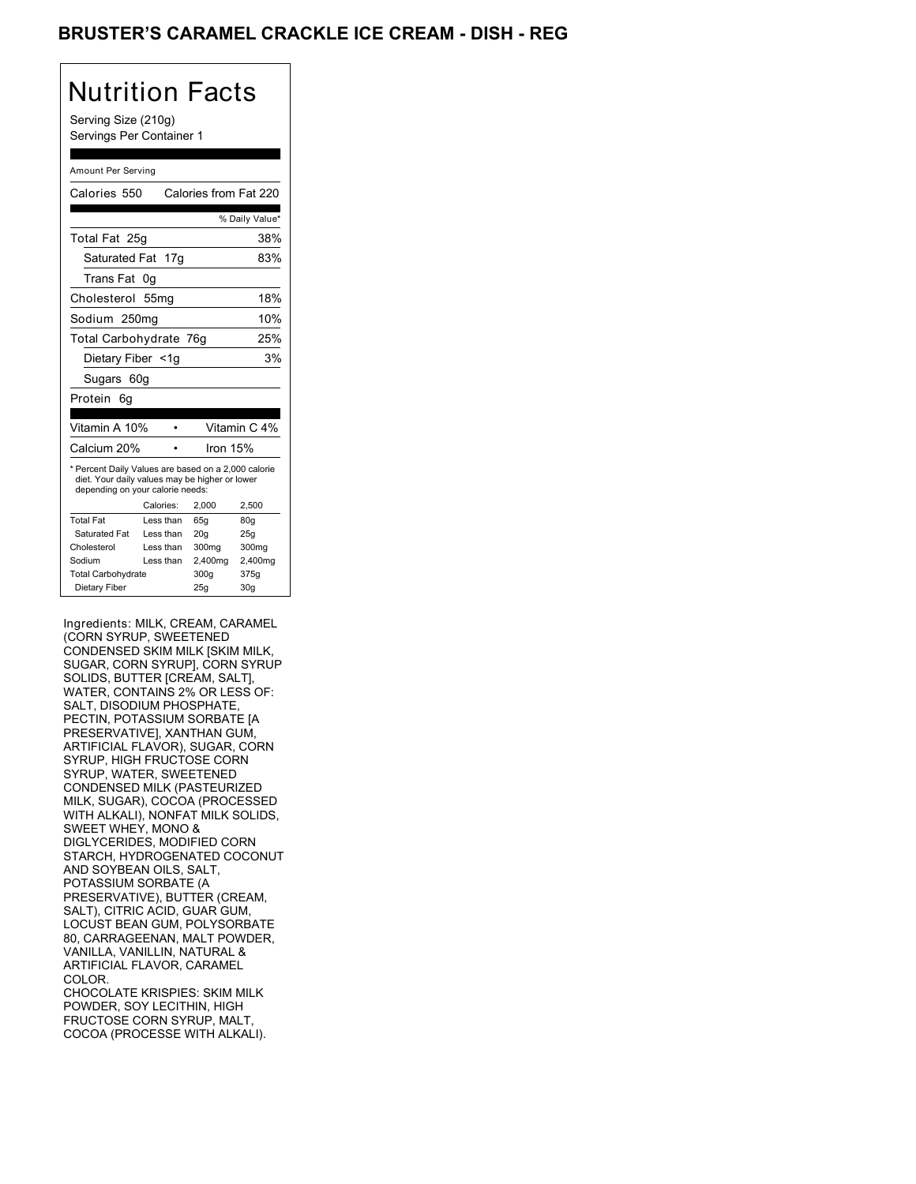### BRUSTER'S CARAMEL CRACKLE ICE CREAM - DISH - REG

#### Nutrition Facts Serving Size (210g) Servings Per Container 1 Amount Per Serving Calories 550 Calories from Fat 220 % Daily Value\* Total Fat 25g 38% Saturated Fat 17g 83% Trans Fat 0g Cholesterol 55mg 18% Sodium 250mg 10% Total Carbohydrate 76g 25% Dietary Fiber <1g 3% Sugars 60g Protein 6g Vitamin A 10% • Vitamin C 4% Calcium 20% • Iron 15% \* Percent Daily Values are based on a 2,000 calorie diet. Your daily values may be higher or lower depending on your calorie needs: Calories: 2,000 2,500 Total Fat Less than 65g 80g Saturated Fat Less than 20g 25g Cholesterol Less than 300mg 300mg<br>Sodium Less than 2,400mg 2,400m Sodium Less than 2,400mg 2,400mg<br>Total Carbohydrate 300g 375g Total Carbohydrate 300g Dietary Fiber 25g 30g

Ingredients: MILK, CREAM, CARAMEL (CORN SYRUP, SWEETENED CONDENSED SKIM MILK [SKIM MILK, SUGAR, CORN SYRUP], CORN SYRUP SOLIDS, BUTTER [CREAM, SALT], WATER, CONTAINS 2% OR LESS OF: SALT, DISODIUM PHOSPHATE, PECTIN, POTASSIUM SORBATE [A PRESERVATIVE], XANTHAN GUM, ARTIFICIAL FLAVOR), SUGAR, CORN SYRUP, HIGH FRUCTOSE CORN SYRUP, WATER, SWEETENED CONDENSED MILK (PASTEURIZED MILK, SUGAR), COCOA (PROCESSED WITH ALKALI), NONFAT MILK SOLIDS, SWEET WHEY, MONO & DIGLYCERIDES, MODIFIED CORN STARCH, HYDROGENATED COCONUT AND SOYBEAN OILS, SALT, POTASSIUM SORBATE (A PRESERVATIVE), BUTTER (CREAM, SALT), CITRIC ACID, GUAR GUM, LOCUST BEAN GUM, POLYSORBATE 80, CARRAGEENAN, MALT POWDER, VANILLA, VANILLIN, NATURAL & ARTIFICIAL FLAVOR, CARAMEL COLOR. CHOCOLATE KRISPIES: SKIM MILK POWDER, SOY LECITHIN, HIGH FRUCTOSE CORN SYRUP, MALT, COCOA (PROCESSE WITH ALKALI).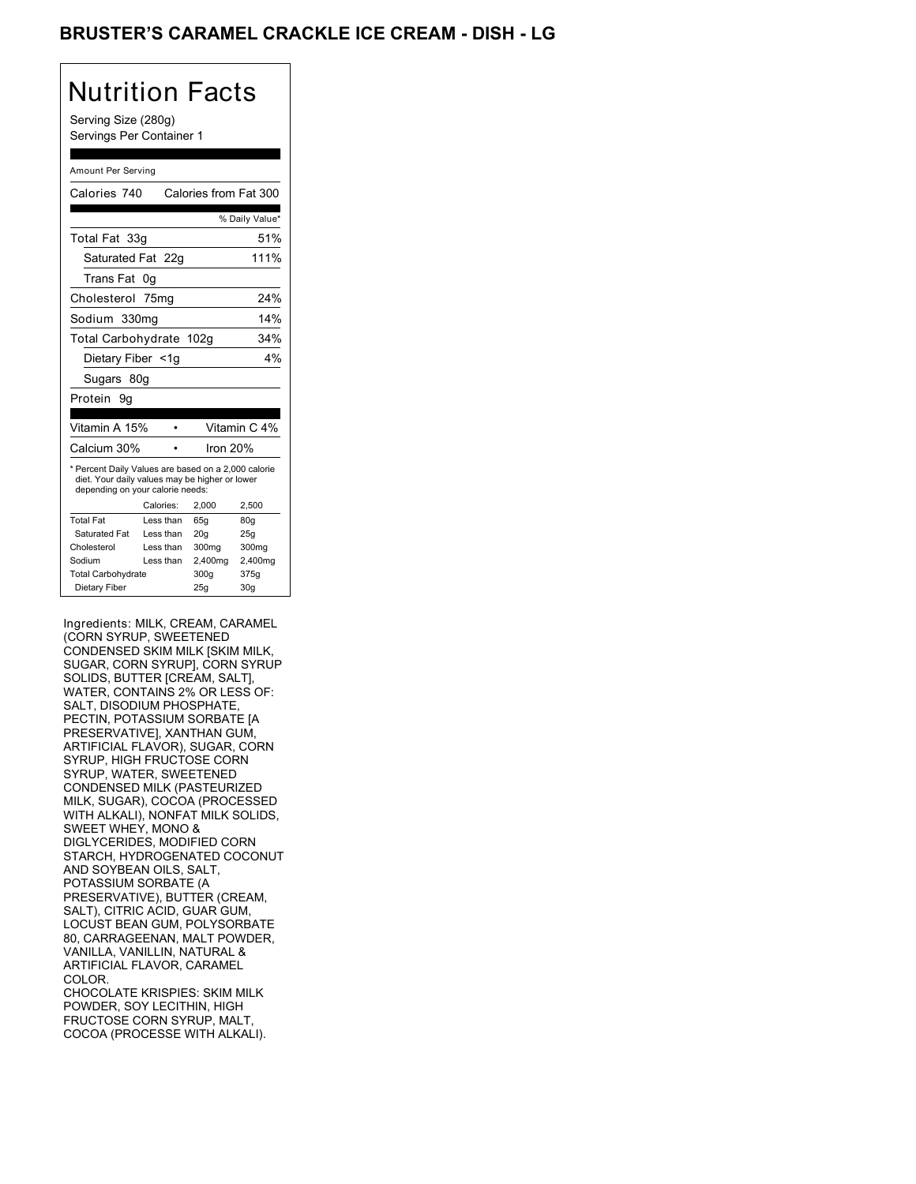## BRUSTER'S CARAMEL CRACKLE ICE CREAM - DISH - LG

# Nutrition Facts

Serving Size (280g) Servings Per Container 1

#### Amount Per Serving

| Calories 740                                                                                                                              |           | Calories from Fat 300 |                   |
|-------------------------------------------------------------------------------------------------------------------------------------------|-----------|-----------------------|-------------------|
|                                                                                                                                           |           |                       | % Daily Value*    |
| Total Fat 33g                                                                                                                             |           |                       | 51%               |
| Saturated Fat 22g                                                                                                                         |           |                       | 111%              |
| Trans Fat                                                                                                                                 | 0g        |                       |                   |
| Cholesterol 75mg                                                                                                                          |           |                       | 24%               |
| Sodium 330mg                                                                                                                              |           |                       | 14%               |
| Total Carbohydrate 102g                                                                                                                   |           |                       | 34%               |
| Dietary Fiber <1g                                                                                                                         |           |                       | 4%                |
| Sugars 80g                                                                                                                                |           |                       |                   |
| Protein 9g                                                                                                                                |           |                       |                   |
|                                                                                                                                           |           |                       |                   |
| Vitamin A 15%                                                                                                                             |           |                       | Vitamin C 4%      |
| Calcium 30%                                                                                                                               |           | Iron 20%              |                   |
| * Percent Daily Values are based on a 2,000 calorie<br>diet. Your daily values may be higher or lower<br>depending on your calorie needs: |           |                       |                   |
|                                                                                                                                           | Calories: | 2.000                 | 2.500             |
| <b>Total Fat</b>                                                                                                                          | Less than | 65q                   | 80g               |
| <b>Saturated Fat</b>                                                                                                                      | Less than | 20q                   | 25q               |
| Cholesterol                                                                                                                               | Less than | 300mg                 | 300 <sub>mq</sub> |
| Sodium                                                                                                                                    | Less than | 2,400mg               | 2,400mg           |
| <b>Total Carbohydrate</b>                                                                                                                 |           | 300g                  | 375g              |
| Dietary Fiber                                                                                                                             |           | 25g                   | 30 <sub>g</sub>   |

Ingredients: MILK, CREAM, CARAMEL (CORN SYRUP, SWEETENED CONDENSED SKIM MILK [SKIM MILK, SUGAR, CORN SYRUP], CORN SYRUP SOLIDS, BUTTER [CREAM, SALT], WATER, CONTAINS 2% OR LESS OF: SALT, DISODIUM PHOSPHATE, PECTIN, POTASSIUM SORBATE [A PRESERVATIVE], XANTHAN GUM, ARTIFICIAL FLAVOR), SUGAR, CORN SYRUP, HIGH FRUCTOSE CORN SYRUP, WATER, SWEETENED CONDENSED MILK (PASTEURIZED MILK, SUGAR), COCOA (PROCESSED WITH ALKALI), NONFAT MILK SOLIDS, SWEET WHEY, MONO & DIGLYCERIDES, MODIFIED CORN STARCH, HYDROGENATED COCONUT AND SOYBEAN OILS, SALT, POTASSIUM SORBATE (A PRESERVATIVE), BUTTER (CREAM, SALT), CITRIC ACID, GUAR GUM, LOCUST BEAN GUM, POLYSORBATE 80, CARRAGEENAN, MALT POWDER, VANILLA, VANILLIN, NATURAL & ARTIFICIAL FLAVOR, CARAMEL COLOR. CHOCOLATE KRISPIES: SKIM MILK POWDER, SOY LECITHIN, HIGH FRUCTOSE CORN SYRUP, MALT, COCOA (PROCESSE WITH ALKALI).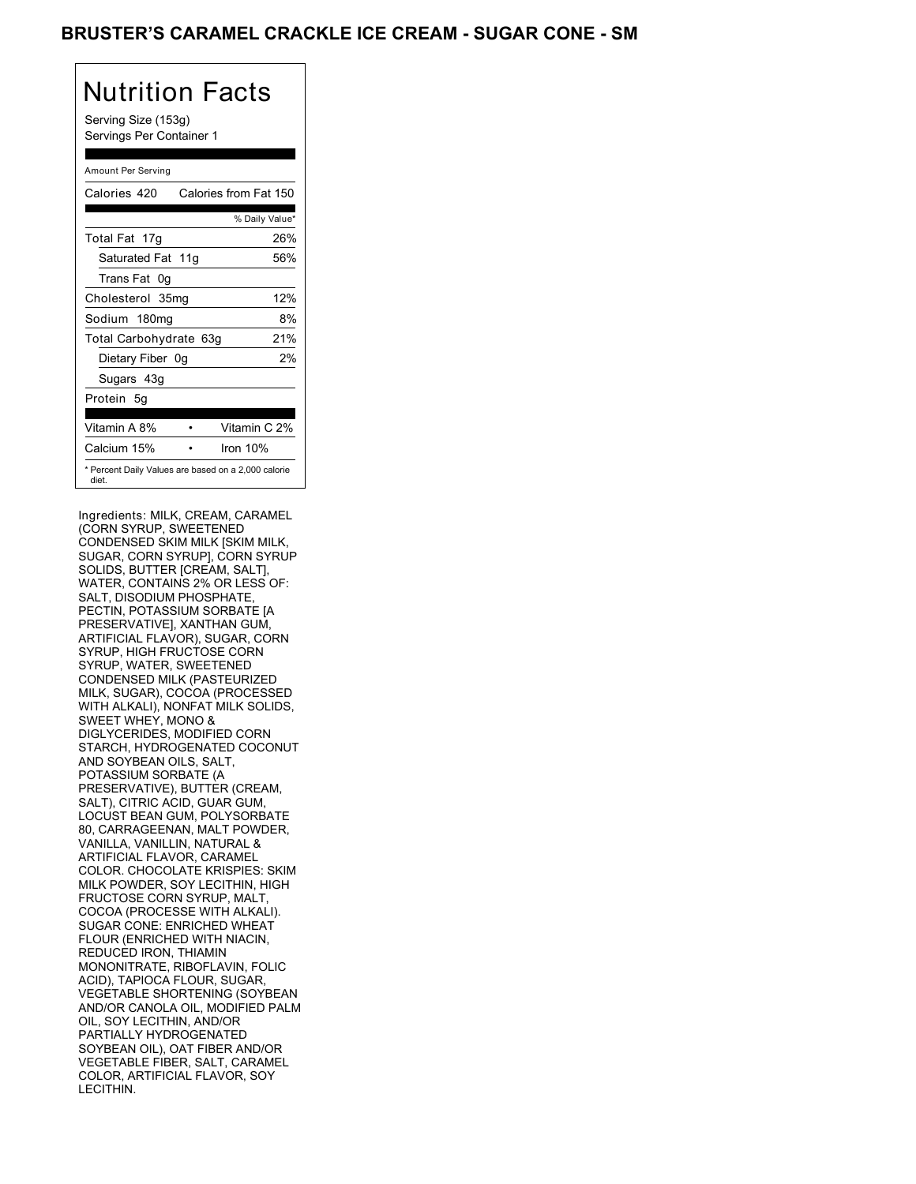## BRUSTER'S CARAMEL CRACKLE ICE CREAM - SUGAR CONE - SM

| Nutrition Facts<br>Serving Size (153g)<br>Servings Per Container 1 |
|--------------------------------------------------------------------|
| Amount Per Serving                                                 |
| Calories from Fat 150<br>Calories 420                              |
| % Daily Value*                                                     |
| Total Fat<br>26%<br>17q                                            |
| Saturated Fat 11g<br>56%                                           |
| Trans Fat 0q                                                       |
| 12%<br>Cholesterol 35mg                                            |
| 8%<br>Sodium 180mg                                                 |
| Total Carbohydrate 63g<br>21%                                      |
| 2%<br>Dietary Fiber 0g                                             |
| Sugars 43g                                                         |
| Protein<br>5q                                                      |
|                                                                    |
| Vitamin A 8%<br>Vitamin C 2%                                       |
| Calcium 15%<br>Iron 10%                                            |
| * Percent Daily Values are based on a 2,000 calorie<br>diet.       |

Ingredients: MILK, CREAM, CARAMEL (CORN SYRUP, SWEETENED CONDENSED SKIM MILK [SKIM MILK, SUGAR, CORN SYRUP], CORN SYRUP SOLIDS, BUTTER [CREAM, SALT], WATER, CONTAINS 2% OR LESS OF: SALT, DISODIUM PHOSPHATE, PECTIN, POTASSIUM SORBATE [A PRESERVATIVE], XANTHAN GUM, ARTIFICIAL FLAVOR), SUGAR, CORN SYRUP, HIGH FRUCTOSE CORN SYRUP, WATER, SWEETENED CONDENSED MILK (PASTEURIZED MILK, SUGAR), COCOA (PROCESSED WITH ALKALI), NONFAT MILK SOLIDS, SWEET WHEY, MONO & DIGLYCERIDES, MODIFIED CORN STARCH, HYDROGENATED COCONUT AND SOYBEAN OILS, SALT, POTASSIUM SORBATE (A PRESERVATIVE), BUTTER (CREAM, SALT), CITRIC ACID, GUAR GUM, LOCUST BEAN GUM, POLYSORBATE 80, CARRAGEENAN, MALT POWDER, VANILLA, VANILLIN, NATURAL & ARTIFICIAL FLAVOR, CARAMEL COLOR. CHOCOLATE KRISPIES: SKIM MILK POWDER, SOY LECITHIN, HIGH FRUCTOSE CORN SYRUP, MALT, COCOA (PROCESSE WITH ALKALI). SUGAR CONE: ENRICHED WHEAT FLOUR (ENRICHED WITH NIACIN, REDUCED IRON, THIAMIN MONONITRATE, RIBOFLAVIN, FOLIC ACID), TAPIOCA FLOUR, SUGAR, VEGETABLE SHORTENING (SOYBEAN AND/OR CANOLA OIL, MODIFIED PALM OIL, SOY LECITHIN, AND/OR PARTIALLY HYDROGENATED SOYBEAN OIL), OAT FIBER AND/OR VEGETABLE FIBER, SALT, CARAMEL COLOR, ARTIFICIAL FLAVOR, SOY LECITHIN.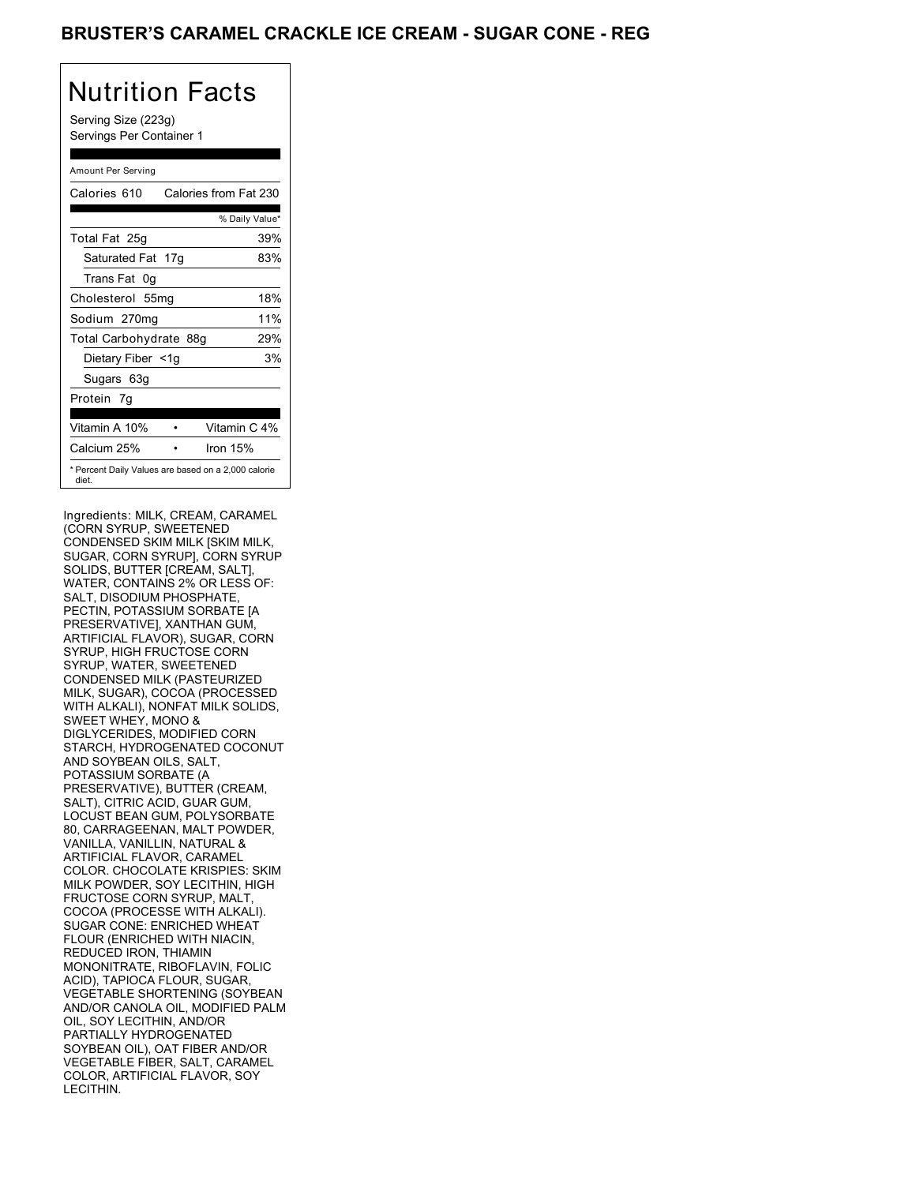## BRUSTER'S CARAMEL CRACKLE ICE CREAM - SUGAR CONE - REG

# Nutrition Facts

Serving Size (223g) Servings Per Container 1

#### Amount Per Serving

| Calories 610           | Calories from Fat 230                               |
|------------------------|-----------------------------------------------------|
|                        | % Daily Value*                                      |
| Total Fat 25g          | 39%                                                 |
| Saturated Fat 17g      | 83%                                                 |
| Trans Fat 0q           |                                                     |
| Cholesterol 55mg       | 18%                                                 |
| Sodium 270mg           | 11%                                                 |
| Total Carbohydrate 88g | 29%                                                 |
| Dietary Fiber <1g      | 3%                                                  |
| Sugars 63g             |                                                     |
| Protein 7g             |                                                     |
|                        |                                                     |
| Vitamin A 10%          | Vitamin C 4%                                        |
| Calcium 25%            | Iron 15%                                            |
| diet.                  | * Percent Daily Values are based on a 2,000 calorie |

Ingredients: MILK, CREAM, CARAMEL (CORN SYRUP, SWEETENED CONDENSED SKIM MILK [SKIM MILK, SUGAR, CORN SYRUP], CORN SYRUP SOLIDS, BUTTER [CREAM, SALT], WATER, CONTAINS 2% OR LESS OF: SALT, DISODIUM PHOSPHATE PECTIN, POTASSIUM SORBATE [A PRESERVATIVE], XANTHAN GUM, ARTIFICIAL FLAVOR), SUGAR, CORN SYRUP, HIGH FRUCTOSE CORN SYRUP, WATER, SWEETENED CONDENSED MILK (PASTEURIZED MILK, SUGAR), COCOA (PROCESSED WITH ALKALI), NONFAT MILK SOLIDS, SWEET WHEY, MONO & DIGLYCERIDES, MODIFIED CORN STARCH, HYDROGENATED COCONUT AND SOYBEAN OILS, SALT, POTASSIUM SORBATE (A PRESERVATIVE), BUTTER (CREAM, SALT), CITRIC ACID, GUAR GUM, LOCUST BEAN GUM, POLYSORBATE 80, CARRAGEENAN, MALT POWDER, VANILLA, VANILLIN, NATURAL & ARTIFICIAL FLAVOR, CARAMEL COLOR. CHOCOLATE KRISPIES: SKIM MILK POWDER, SOY LECITHIN, HIGH FRUCTOSE CORN SYRUP, MALT, COCOA (PROCESSE WITH ALKALI). SUGAR CONE: ENRICHED WHEAT FLOUR (ENRICHED WITH NIACIN, REDUCED IRON, THIAMIN MONONITRATE, RIBOFLAVIN, FOLIC ACID), TAPIOCA FLOUR, SUGAR, VEGETABLE SHORTENING (SOYBEAN AND/OR CANOLA OIL, MODIFIED PALM OIL, SOY LECITHIN, AND/OR PARTIALLY HYDROGENATED SOYBEAN OIL), OAT FIBER AND/OR VEGETABLE FIBER, SALT, CARAMEL COLOR, ARTIFICIAL FLAVOR, SOY LECITHIN.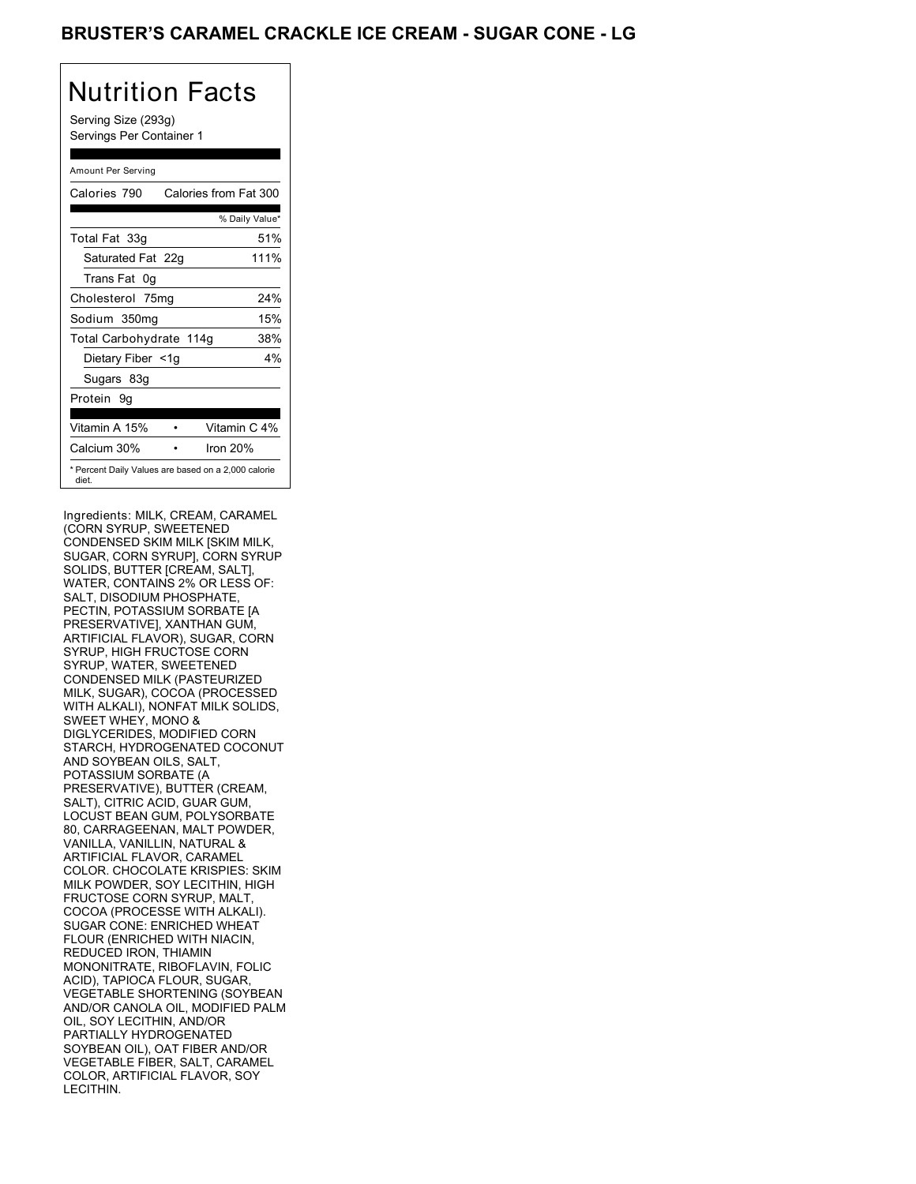## BRUSTER'S CARAMEL CRACKLE ICE CREAM - SUGAR CONE - LG

# Nutrition Facts

Serving Size (293g) Servings Per Container 1

#### Amount Per Serving

| Calories 790                                                 | Calories from Fat 300 |
|--------------------------------------------------------------|-----------------------|
|                                                              | % Daily Value*        |
| Total Fat 33g                                                | 51%                   |
| Saturated Fat 22g                                            | 111%                  |
| Trans Fat 0q                                                 |                       |
| Cholesterol 75mg                                             | 24%                   |
| Sodium 350mg                                                 | 15%                   |
| Total Carbohydrate 114g                                      | 38%                   |
| Dietary Fiber <1g                                            | 4%                    |
| Sugars 83g                                                   |                       |
| Protein 9q                                                   |                       |
|                                                              |                       |
| Vitamin A 15%                                                | Vitamin C 4%          |
| Calcium 30%                                                  | Iron 20%              |
| * Percent Daily Values are based on a 2,000 calorie<br>diet. |                       |

Ingredients: MILK, CREAM, CARAMEL (CORN SYRUP, SWEETENED CONDENSED SKIM MILK [SKIM MILK, SUGAR, CORN SYRUP], CORN SYRUP SOLIDS, BUTTER [CREAM, SALT], WATER, CONTAINS 2% OR LESS OF: SALT, DISODIUM PHOSPHATE PECTIN, POTASSIUM SORBATE [A PRESERVATIVE], XANTHAN GUM, ARTIFICIAL FLAVOR), SUGAR, CORN SYRUP, HIGH FRUCTOSE CORN SYRUP, WATER, SWEETENED CONDENSED MILK (PASTEURIZED MILK, SUGAR), COCOA (PROCESSED WITH ALKALI), NONFAT MILK SOLIDS, SWEET WHEY, MONO & DIGLYCERIDES, MODIFIED CORN STARCH, HYDROGENATED COCONUT AND SOYBEAN OILS, SALT, POTASSIUM SORBATE (A PRESERVATIVE), BUTTER (CREAM, SALT), CITRIC ACID, GUAR GUM, LOCUST BEAN GUM, POLYSORBATE 80, CARRAGEENAN, MALT POWDER, VANILLA, VANILLIN, NATURAL & ARTIFICIAL FLAVOR, CARAMEL COLOR. CHOCOLATE KRISPIES: SKIM MILK POWDER, SOY LECITHIN, HIGH FRUCTOSE CORN SYRUP, MALT, COCOA (PROCESSE WITH ALKALI). SUGAR CONE: ENRICHED WHEAT FLOUR (ENRICHED WITH NIACIN, REDUCED IRON, THIAMIN MONONITRATE, RIBOFLAVIN, FOLIC ACID), TAPIOCA FLOUR, SUGAR, VEGETABLE SHORTENING (SOYBEAN AND/OR CANOLA OIL, MODIFIED PALM OIL, SOY LECITHIN, AND/OR PARTIALLY HYDROGENATED SOYBEAN OIL), OAT FIBER AND/OR VEGETABLE FIBER, SALT, CARAMEL COLOR, ARTIFICIAL FLAVOR, SOY LECITHIN.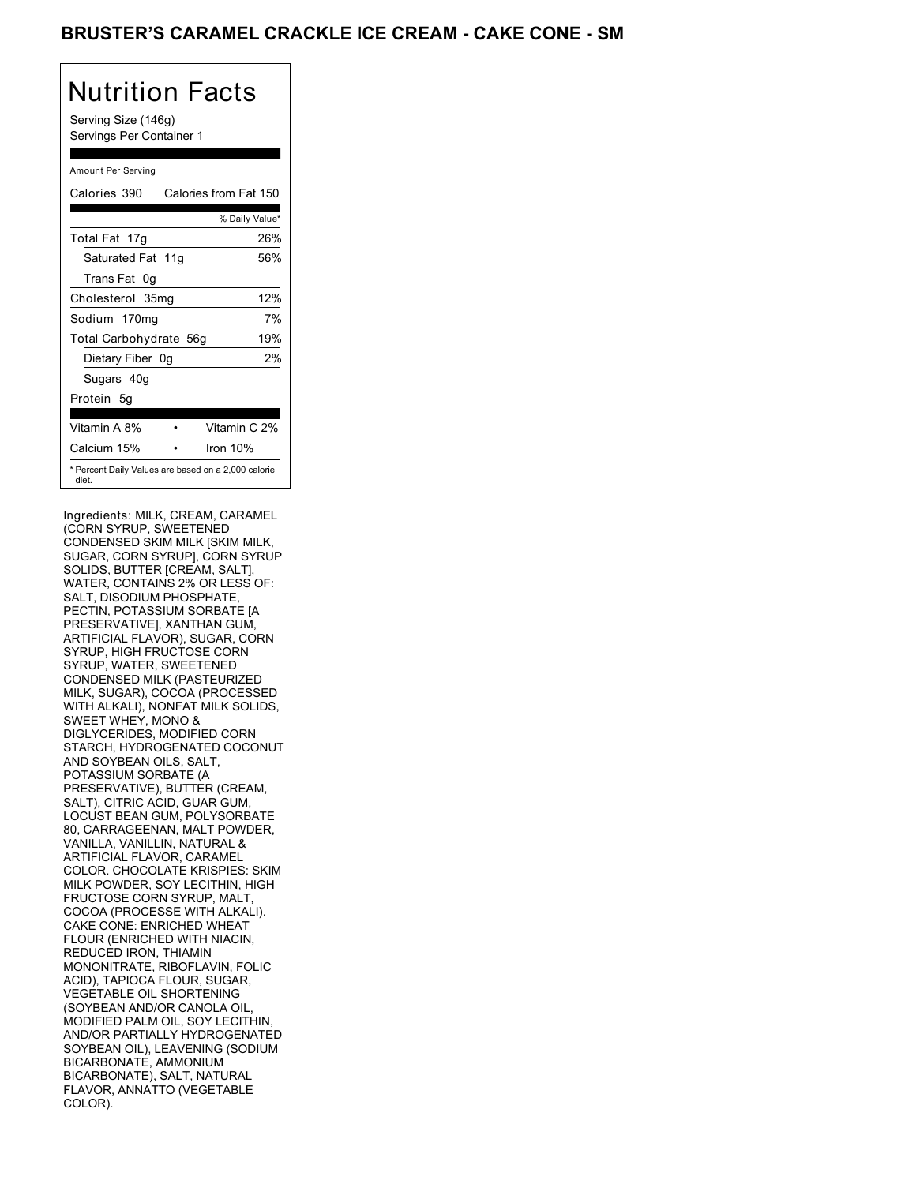## BRUSTER'S CARAMEL CRACKLE ICE CREAM - CAKE CONE - SM

# Nutrition Facts

Serving Size (146g) Servings Per Container 1

#### Amount Per Serving

| Calories 390           | Calories from Fat 150                               |
|------------------------|-----------------------------------------------------|
|                        | % Daily Value*                                      |
| Total Fat 17g          | 26%                                                 |
| Saturated Fat 11g      | 56%                                                 |
| Trans Fat 0q           |                                                     |
| Cholesterol 35mg       | 12%                                                 |
| Sodium 170mg           | 7%                                                  |
| Total Carbohydrate 56g | 19%                                                 |
| Dietary Fiber 0g       | 2%                                                  |
| Sugars 40g             |                                                     |
| Protein 5q             |                                                     |
|                        |                                                     |
| Vitamin A 8%           | Vitamin C 2%                                        |
| Calcium 15%            | Iron 10%                                            |
| diet.                  | * Percent Daily Values are based on a 2,000 calorie |

Ingredients: MILK, CREAM, CARAMEL (CORN SYRUP, SWEETENED CONDENSED SKIM MILK [SKIM MILK, SUGAR, CORN SYRUP], CORN SYRUP SOLIDS, BUTTER [CREAM, SALT], WATER, CONTAINS 2% OR LESS OF: SALT, DISODIUM PHOSPHATE PECTIN, POTASSIUM SORBATE [A PRESERVATIVE], XANTHAN GUM, ARTIFICIAL FLAVOR), SUGAR, CORN SYRUP, HIGH FRUCTOSE CORN SYRUP, WATER, SWEETENED CONDENSED MILK (PASTEURIZED MILK, SUGAR), COCOA (PROCESSED WITH ALKALI), NONFAT MILK SOLIDS, SWEET WHEY, MONO & DIGLYCERIDES, MODIFIED CORN STARCH, HYDROGENATED COCONUT AND SOYBEAN OILS, SALT, POTASSIUM SORBATE (A PRESERVATIVE), BUTTER (CREAM, SALT), CITRIC ACID, GUAR GUM, LOCUST BEAN GUM, POLYSORBATE 80, CARRAGEENAN, MALT POWDER, VANILLA, VANILLIN, NATURAL & ARTIFICIAL FLAVOR, CARAMEL COLOR. CHOCOLATE KRISPIES: SKIM MILK POWDER, SOY LECITHIN, HIGH FRUCTOSE CORN SYRUP, MALT, COCOA (PROCESSE WITH ALKALI). CAKE CONE: ENRICHED WHEAT FLOUR (ENRICHED WITH NIACIN, REDUCED IRON, THIAMIN MONONITRATE, RIBOFLAVIN, FOLIC ACID), TAPIOCA FLOUR, SUGAR, VEGETABLE OIL SHORTENING (SOYBEAN AND/OR CANOLA OIL, MODIFIED PALM OIL, SOY LECITHIN, AND/OR PARTIALLY HYDROGENATED SOYBEAN OIL), LEAVENING (SODIUM BICARBONATE, AMMONIUM BICARBONATE), SALT, NATURAL FLAVOR, ANNATTO (VEGETABLE COLOR).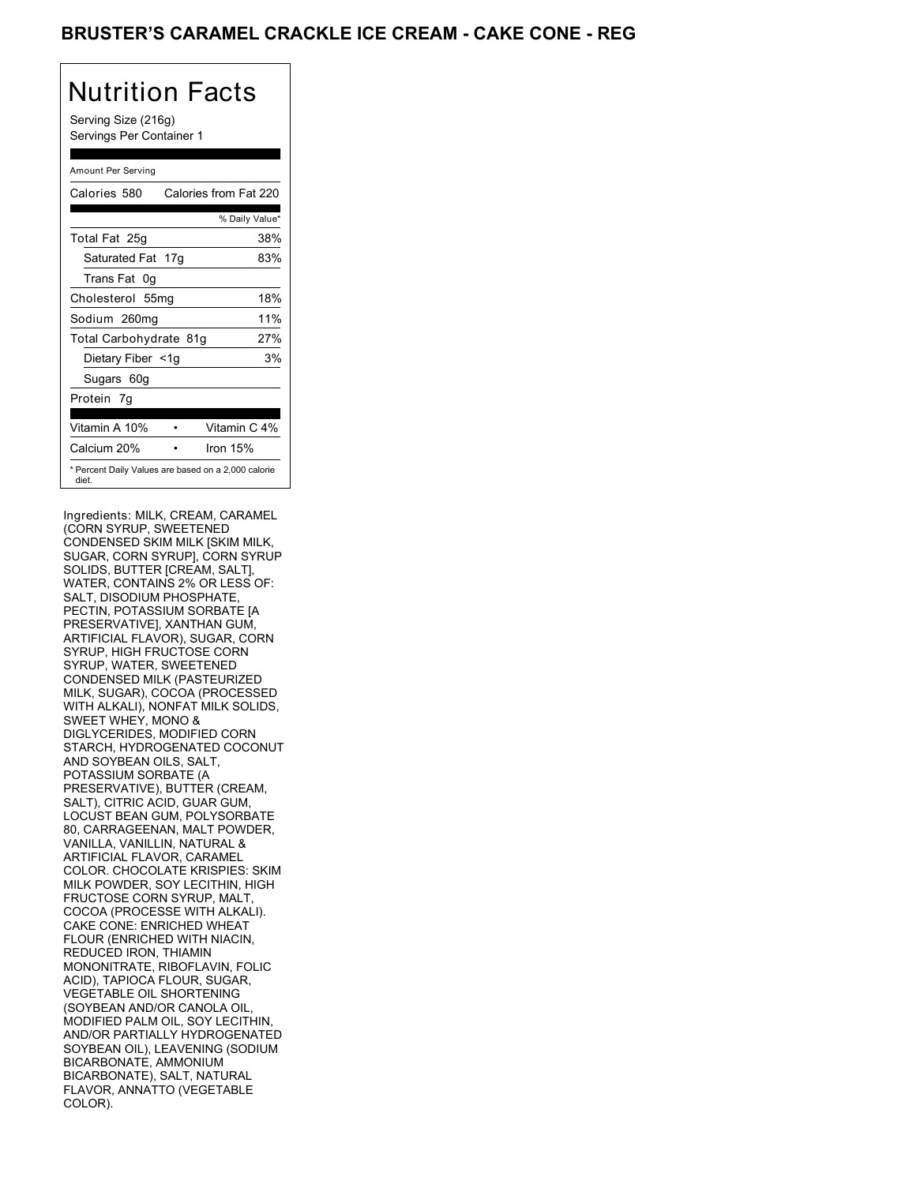## BRUSTER'S CARAMEL CRACKLE ICE CREAM - CAKE CONE - REG

# Nutrition Facts

Serving Size (216g) Servings Per Container 1

#### Amount Per Serving Calories 580 Calories from Fat 220 % Daily Value\* Total Fat 25g 38% Saturated Fat 17g 83% Trans Fat 0g Cholesterol 55mg 18% Sodium 260mg 11% Total Carbohydrate 81g 27% Dietary Fiber <1g 3% Sugars 60g Protein 7g Vitamin A 10% • Vitamin C 4% Calcium 20% • Iron 15% \* Percent Daily Values are based on a 2,000 calorie diet.

Ingredients: MILK, CREAM, CARAMEL (CORN SYRUP, SWEETENED CONDENSED SKIM MILK [SKIM MILK, SUGAR, CORN SYRUP], CORN SYRUP SOLIDS, BUTTER [CREAM, SALT], WATER, CONTAINS 2% OR LESS OF: SALT, DISODIUM PHOSPHATE PECTIN, POTASSIUM SORBATE [A PRESERVATIVE], XANTHAN GUM, ARTIFICIAL FLAVOR), SUGAR, CORN SYRUP, HIGH FRUCTOSE CORN SYRUP, WATER, SWEETENED CONDENSED MILK (PASTEURIZED MILK, SUGAR), COCOA (PROCESSED WITH ALKALI), NONFAT MILK SOLIDS, SWEET WHEY, MONO & DIGLYCERIDES, MODIFIED CORN STARCH, HYDROGENATED COCONUT AND SOYBEAN OILS, SALT, POTASSIUM SORBATE (A PRESERVATIVE), BUTTER (CREAM, SALT), CITRIC ACID, GUAR GUM, LOCUST BEAN GUM, POLYSORBATE 80, CARRAGEENAN, MALT POWDER, VANILLA, VANILLIN, NATURAL & ARTIFICIAL FLAVOR, CARAMEL COLOR. CHOCOLATE KRISPIES: SKIM MILK POWDER, SOY LECITHIN, HIGH FRUCTOSE CORN SYRUP, MALT, COCOA (PROCESSE WITH ALKALI). CAKE CONE: ENRICHED WHEAT FLOUR (ENRICHED WITH NIACIN, REDUCED IRON, THIAMIN MONONITRATE, RIBOFLAVIN, FOLIC ACID), TAPIOCA FLOUR, SUGAR, VEGETABLE OIL SHORTENING (SOYBEAN AND/OR CANOLA OIL, MODIFIED PALM OIL, SOY LECITHIN, AND/OR PARTIALLY HYDROGENATED SOYBEAN OIL), LEAVENING (SODIUM BICARBONATE, AMMONIUM BICARBONATE), SALT, NATURAL FLAVOR, ANNATTO (VEGETABLE COLOR).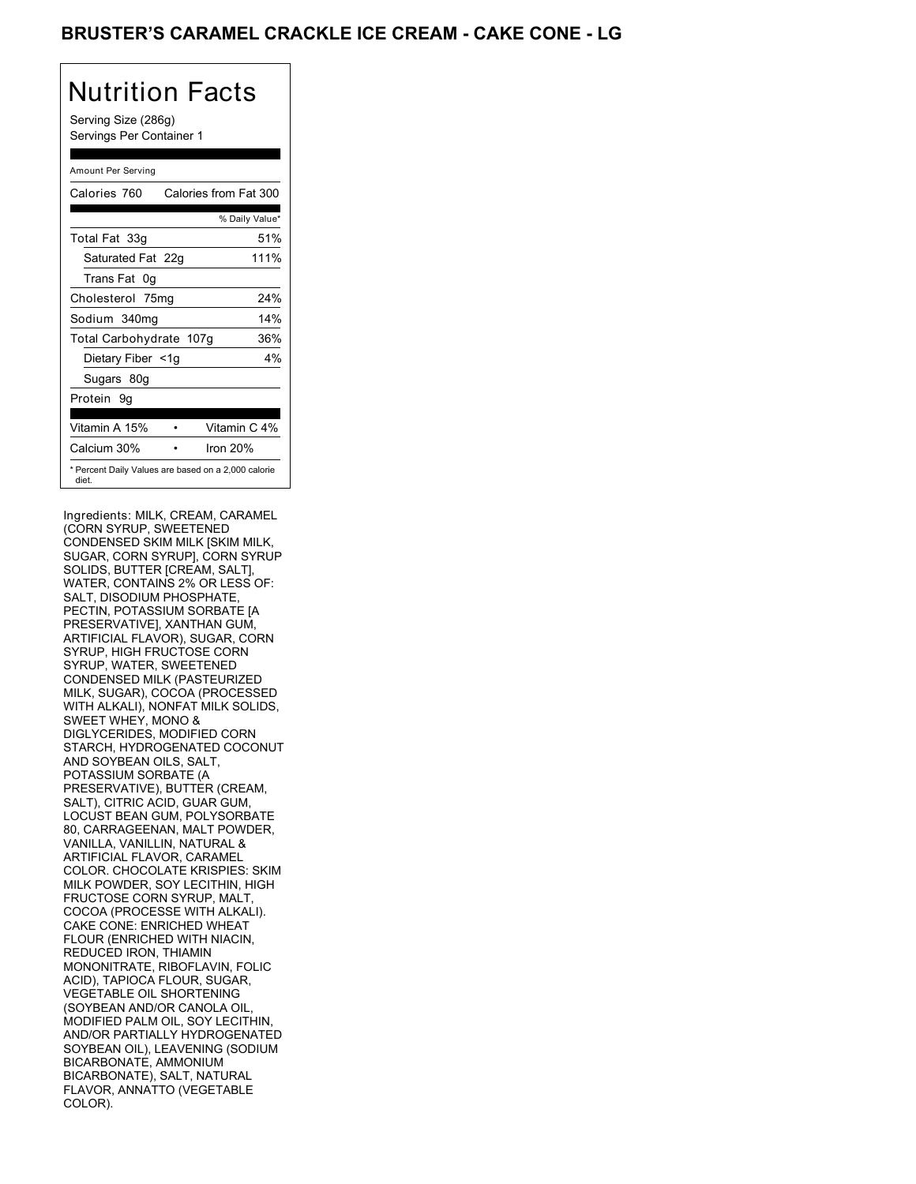## BRUSTER'S CARAMEL CRACKLE ICE CREAM - CAKE CONE - LG

# Nutrition Facts

Serving Size (286g) Servings Per Container 1

### Amount Per Serving Calories 760 Calories from Fat 300 % Daily Value\* Total Fat 33g 51% Saturated Fat 22q 111% Trans Fat 0g Cholesterol 75mg 24%

| Sodium 340mg                                                 |              | 14% |
|--------------------------------------------------------------|--------------|-----|
| Total Carbohydrate 107g                                      |              | 36% |
| Dietary Fiber <1g                                            |              | 4%  |
| Sugars 80g                                                   |              |     |
| Protein 9q                                                   |              |     |
|                                                              |              |     |
| Vitamin A 15%                                                | Vitamin C 4% |     |
| Calcium 30%                                                  | Iron 20%     |     |
| * Percent Daily Values are based on a 2,000 calorie<br>diet. |              |     |

Ingredients: MILK, CREAM, CARAMEL (CORN SYRUP, SWEETENED CONDENSED SKIM MILK [SKIM MILK, SUGAR, CORN SYRUP], CORN SYRUP SOLIDS, BUTTER [CREAM, SALT], WATER, CONTAINS 2% OR LESS OF: SALT, DISODIUM PHOSPHATE PECTIN, POTASSIUM SORBATE [A PRESERVATIVE], XANTHAN GUM, ARTIFICIAL FLAVOR), SUGAR, CORN SYRUP, HIGH FRUCTOSE CORN SYRUP, WATER, SWEETENED CONDENSED MILK (PASTEURIZED MILK, SUGAR), COCOA (PROCESSED WITH ALKALI), NONFAT MILK SOLIDS, SWEET WHEY, MONO & DIGLYCERIDES, MODIFIED CORN STARCH, HYDROGENATED COCONUT AND SOYBEAN OILS, SALT, POTASSIUM SORBATE (A PRESERVATIVE), BUTTER (CREAM, SALT), CITRIC ACID, GUAR GUM, LOCUST BEAN GUM, POLYSORBATE 80, CARRAGEENAN, MALT POWDER, VANILLA, VANILLIN, NATURAL & ARTIFICIAL FLAVOR, CARAMEL COLOR. CHOCOLATE KRISPIES: SKIM MILK POWDER, SOY LECITHIN, HIGH FRUCTOSE CORN SYRUP, MALT, COCOA (PROCESSE WITH ALKALI). CAKE CONE: ENRICHED WHEAT FLOUR (ENRICHED WITH NIACIN, REDUCED IRON, THIAMIN MONONITRATE, RIBOFLAVIN, FOLIC ACID), TAPIOCA FLOUR, SUGAR, VEGETABLE OIL SHORTENING (SOYBEAN AND/OR CANOLA OIL, MODIFIED PALM OIL, SOY LECITHIN, AND/OR PARTIALLY HYDROGENATED SOYBEAN OIL), LEAVENING (SODIUM BICARBONATE, AMMONIUM BICARBONATE), SALT, NATURAL FLAVOR, ANNATTO (VEGETABLE COLOR).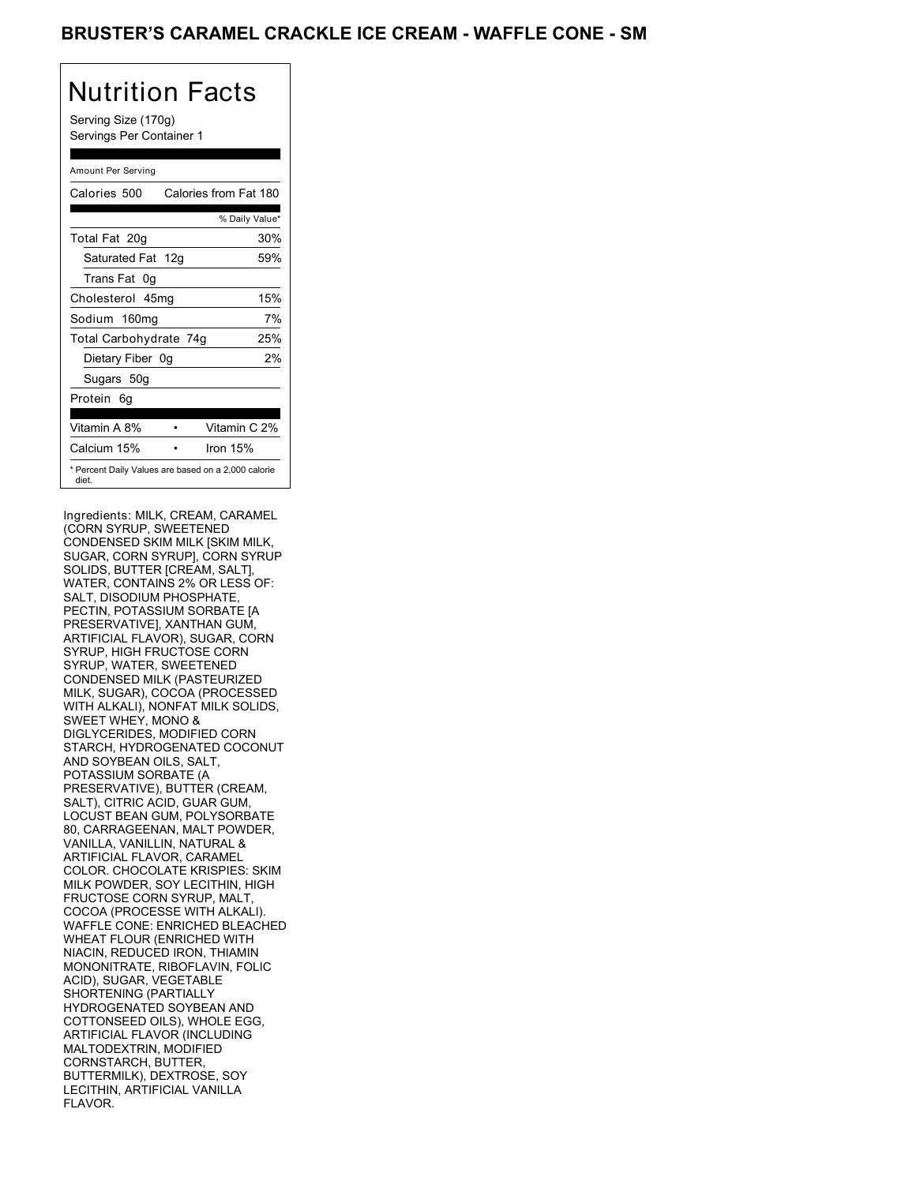## BRUSTER'S CARAMEL CRACKLE ICE CREAM - WAFFLE CONE - SM

# Nutrition Facts

Serving Size (170g) Servings Per Container 1

#### Amount Per Serving

| Calories 500           | Calories from Fat 180                               |
|------------------------|-----------------------------------------------------|
|                        | % Daily Value*                                      |
| Total Fat 20g          | 30%                                                 |
| Saturated Fat 12g      | 59%                                                 |
| Trans Fat 0g           |                                                     |
| Cholesterol 45mg       | 15%                                                 |
| Sodium 160mg           | 7%                                                  |
| Total Carbohydrate 74g | 25%                                                 |
| Dietary Fiber 0g       | 2%                                                  |
| Sugars 50g             |                                                     |
| Protein 6q             |                                                     |
|                        |                                                     |
| Vitamin A 8%           | Vitamin C 2%                                        |
| Calcium 15%            | Iron 15%                                            |
| diet.                  | * Percent Daily Values are based on a 2,000 calorie |

Ingredients: MILK, CREAM, CARAMEL (CORN SYRUP, SWEETENED CONDENSED SKIM MILK [SKIM MILK, SUGAR, CORN SYRUP], CORN SYRUP SOLIDS, BUTTER [CREAM, SALT], WATER, CONTAINS 2% OR LESS OF: SALT, DISODIUM PHOSPHATE PECTIN, POTASSIUM SORBATE [A PRESERVATIVE], XANTHAN GUM, ARTIFICIAL FLAVOR), SUGAR, CORN SYRUP, HIGH FRUCTOSE CORN SYRUP, WATER, SWEETENED CONDENSED MILK (PASTEURIZED MILK, SUGAR), COCOA (PROCESSED WITH ALKALI), NONFAT MILK SOLIDS, SWEET WHEY, MONO & DIGLYCERIDES, MODIFIED CORN STARCH, HYDROGENATED COCONUT AND SOYBEAN OILS, SALT, POTASSIUM SORBATE (A PRESERVATIVE), BUTTER (CREAM, SALT), CITRIC ACID, GUAR GUM, LOCUST BEAN GUM, POLYSORBATE 80, CARRAGEENAN, MALT POWDER, VANILLA, VANILLIN, NATURAL & ARTIFICIAL FLAVOR, CARAMEL COLOR. CHOCOLATE KRISPIES: SKIM MILK POWDER, SOY LECITHIN, HIGH FRUCTOSE CORN SYRUP, MALT, COCOA (PROCESSE WITH ALKALI). WAFFLE CONE: ENRICHED BLEACHED WHEAT FLOUR (ENRICHED WITH NIACIN, REDUCED IRON, THIAMIN MONONITRATE, RIBOFLAVIN, FOLIC ACID), SUGAR, VEGETABLE SHORTENING (PARTIALLY HYDROGENATED SOYBEAN AND COTTONSEED OILS), WHOLE EGG, ARTIFICIAL FLAVOR (INCLUDING MALTODEXTRIN, MODIFIED CORNSTARCH, BUTTER, BUTTERMILK), DEXTROSE, SOY LECITHIN, ARTIFICIAL VANILLA FLAVOR.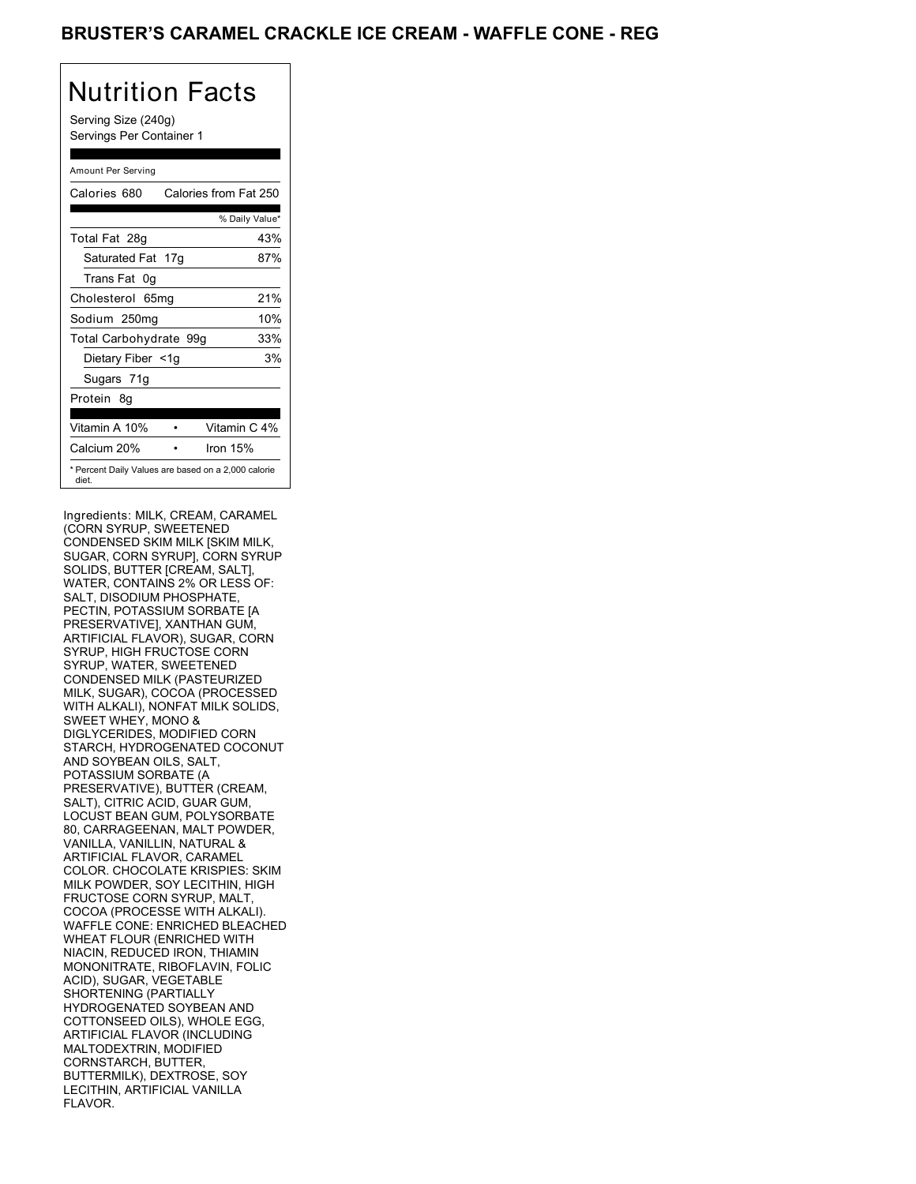## BRUSTER'S CARAMEL CRACKLE ICE CREAM - WAFFLE CONE - REG

# Nutrition Facts

Serving Size (240g) Servings Per Container 1

#### Amount Per Serving

| Calories 680                                                 | Calories from Fat 250 |
|--------------------------------------------------------------|-----------------------|
|                                                              | % Daily Value*        |
| Total Fat 28g                                                | 43%                   |
| Saturated Fat 17g                                            | 87%                   |
| Trans Fat 0g                                                 |                       |
| Cholesterol 65mg                                             | 21%                   |
| Sodium 250mg                                                 | 10%                   |
| Total Carbohydrate 99g                                       | 33%                   |
| Dietary Fiber <1g                                            | 3%                    |
| Sugars 71g                                                   |                       |
| Protein 8g                                                   |                       |
| Vitamin A 10%                                                | Vitamin C 4%          |
|                                                              |                       |
| Calcium 20%                                                  | Iron 15%              |
| * Percent Daily Values are based on a 2,000 calorie<br>diet. |                       |

Ingredients: MILK, CREAM, CARAMEL (CORN SYRUP, SWEETENED CONDENSED SKIM MILK [SKIM MILK, SUGAR, CORN SYRUP], CORN SYRUP SOLIDS, BUTTER [CREAM, SALT], WATER, CONTAINS 2% OR LESS OF: SALT, DISODIUM PHOSPHATE PECTIN, POTASSIUM SORBATE [A PRESERVATIVE], XANTHAN GUM, ARTIFICIAL FLAVOR), SUGAR, CORN SYRUP, HIGH FRUCTOSE CORN SYRUP, WATER, SWEETENED CONDENSED MILK (PASTEURIZED MILK, SUGAR), COCOA (PROCESSED WITH ALKALI), NONFAT MILK SOLIDS, SWEET WHEY, MONO & DIGLYCERIDES, MODIFIED CORN STARCH, HYDROGENATED COCONUT AND SOYBEAN OILS, SALT, POTASSIUM SORBATE (A PRESERVATIVE), BUTTER (CREAM, SALT), CITRIC ACID, GUAR GUM, LOCUST BEAN GUM, POLYSORBATE 80, CARRAGEENAN, MALT POWDER, VANILLA, VANILLIN, NATURAL & ARTIFICIAL FLAVOR, CARAMEL COLOR. CHOCOLATE KRISPIES: SKIM MILK POWDER, SOY LECITHIN, HIGH FRUCTOSE CORN SYRUP, MALT, COCOA (PROCESSE WITH ALKALI). WAFFLE CONE: ENRICHED BLEACHED WHEAT FLOUR (ENRICHED WITH NIACIN, REDUCED IRON, THIAMIN MONONITRATE, RIBOFLAVIN, FOLIC ACID), SUGAR, VEGETABLE SHORTENING (PARTIALLY HYDROGENATED SOYBEAN AND COTTONSEED OILS), WHOLE EGG, ARTIFICIAL FLAVOR (INCLUDING MALTODEXTRIN, MODIFIED CORNSTARCH, BUTTER, BUTTERMILK), DEXTROSE, SOY LECITHIN, ARTIFICIAL VANILLA FLAVOR.